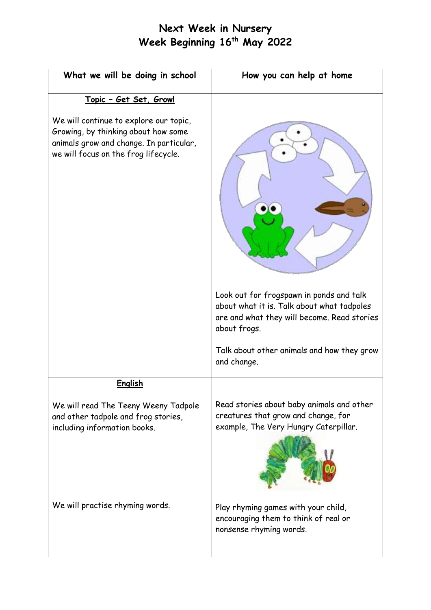## **Next Week in Nursery Week Beginning 16 th May 2022**

| What we will be doing in school                                                                                                                                  | How you can help at home                                                                                                  |
|------------------------------------------------------------------------------------------------------------------------------------------------------------------|---------------------------------------------------------------------------------------------------------------------------|
| <u> Topic - Get Set, Grow!</u>                                                                                                                                   |                                                                                                                           |
| We will continue to explore our topic,<br>Growing, by thinking about how some<br>animals grow and change. In particular,<br>we will focus on the frog lifecycle. | Look out for frogspawn in ponds and talk<br>about what it is. Talk about what tadpoles                                    |
|                                                                                                                                                                  | are and what they will become. Read stories<br>about frogs.                                                               |
|                                                                                                                                                                  | Talk about other animals and how they grow<br>and change.                                                                 |
| <b>English</b>                                                                                                                                                   |                                                                                                                           |
| We will read The Teeny Weeny Tadpole<br>and other tadpole and frog stories,<br>including information books.                                                      | Read stories about baby animals and other<br>creatures that grow and change, for<br>example, The Very Hungry Caterpillar. |
| We will practise rhyming words.                                                                                                                                  | Play rhyming games with your child,<br>encouraging them to think of real or<br>nonsense rhyming words.                    |